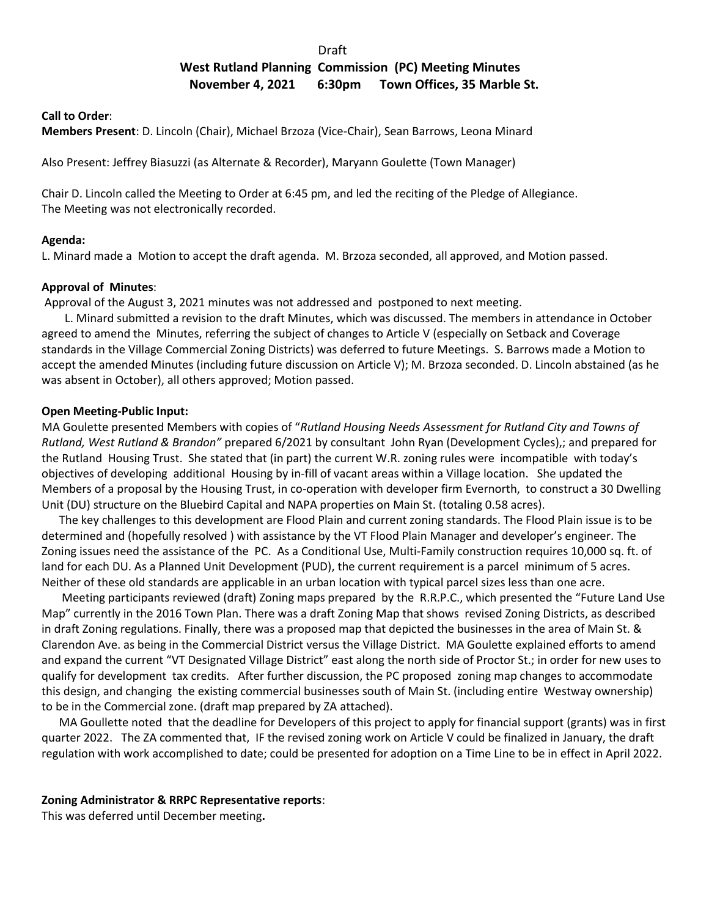# de a construction of the construction of the Draft Draft

# **West Rutland Planning Commission (PC) Meeting Minutes November 4, 2021 6:30pm Town Offices, 35 Marble St.**

#### **Call to Order**:

**Members Present**: D. Lincoln (Chair), Michael Brzoza (Vice-Chair), Sean Barrows, Leona Minard

Also Present: Jeffrey Biasuzzi (as Alternate & Recorder), Maryann Goulette (Town Manager)

Chair D. Lincoln called the Meeting to Order at 6:45 pm, and led the reciting of the Pledge of Allegiance. The Meeting was not electronically recorded.

# **Agenda:**

L. Minard made a Motion to accept the draft agenda. M. Brzoza seconded, all approved, and Motion passed.

# **Approval of Minutes**:

Approval of the August 3, 2021 minutes was not addressed and postponed to next meeting.

 L. Minard submitted a revision to the draft Minutes, which was discussed. The members in attendance in October agreed to amend the Minutes, referring the subject of changes to Article V (especially on Setback and Coverage standards in the Village Commercial Zoning Districts) was deferred to future Meetings. S. Barrows made a Motion to accept the amended Minutes (including future discussion on Article V); M. Brzoza seconded. D. Lincoln abstained (as he was absent in October), all others approved; Motion passed.

# **Open Meeting-Public Input:**

MA Goulette presented Members with copies of "*Rutland Housing Needs Assessment for Rutland City and Towns of Rutland, West Rutland & Brandon"* prepared 6/2021 by consultant John Ryan (Development Cycles),; and prepared for the Rutland Housing Trust. She stated that (in part) the current W.R. zoning rules were incompatible with today's objectives of developing additional Housing by in-fill of vacant areas within a Village location. She updated the Members of a proposal by the Housing Trust, in co-operation with developer firm Evernorth, to construct a 30 Dwelling Unit (DU) structure on the Bluebird Capital and NAPA properties on Main St. (totaling 0.58 acres).

 The key challenges to this development are Flood Plain and current zoning standards. The Flood Plain issue is to be determined and (hopefully resolved ) with assistance by the VT Flood Plain Manager and developer's engineer. The Zoning issues need the assistance of the PC. As a Conditional Use, Multi-Family construction requires 10,000 sq. ft. of land for each DU. As a Planned Unit Development (PUD), the current requirement is a parcel minimum of 5 acres. Neither of these old standards are applicable in an urban location with typical parcel sizes less than one acre.

 Meeting participants reviewed (draft) Zoning maps prepared by the R.R.P.C., which presented the "Future Land Use Map" currently in the 2016 Town Plan. There was a draft Zoning Map that shows revised Zoning Districts, as described in draft Zoning regulations. Finally, there was a proposed map that depicted the businesses in the area of Main St. & Clarendon Ave. as being in the Commercial District versus the Village District. MA Goulette explained efforts to amend and expand the current "VT Designated Village District" east along the north side of Proctor St.; in order for new uses to qualify for development tax credits. After further discussion, the PC proposed zoning map changes to accommodate this design, and changing the existing commercial businesses south of Main St. (including entire Westway ownership) to be in the Commercial zone. (draft map prepared by ZA attached).

 MA Goullette noted that the deadline for Developers of this project to apply for financial support (grants) was in first quarter 2022. The ZA commented that, IF the revised zoning work on Article V could be finalized in January, the draft regulation with work accomplished to date; could be presented for adoption on a Time Line to be in effect in April 2022.

#### **Zoning Administrator & RRPC Representative reports**:

This was deferred until December meeting**.**